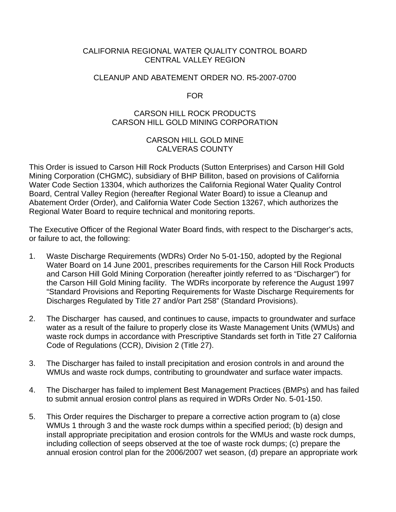### CALIFORNIA REGIONAL WATER QUALITY CONTROL BOARD CENTRAL VALLEY REGION

#### CLEANUP AND ABATEMENT ORDER NO. R5-2007-0700

#### FOR

### CARSON HILL ROCK PRODUCTS CARSON HILL GOLD MINING CORPORATION

### CARSON HILL GOLD MINE CALVERAS COUNTY

This Order is issued to Carson Hill Rock Products (Sutton Enterprises) and Carson Hill Gold Mining Corporation (CHGMC), subsidiary of BHP Billiton, based on provisions of California Water Code Section 13304, which authorizes the California Regional Water Quality Control Board, Central Valley Region (hereafter Regional Water Board) to issue a Cleanup and Abatement Order (Order), and California Water Code Section 13267, which authorizes the Regional Water Board to require technical and monitoring reports.

The Executive Officer of the Regional Water Board finds, with respect to the Discharger's acts, or failure to act, the following:

- 1. Waste Discharge Requirements (WDRs) Order No 5-01-150, adopted by the Regional Water Board on 14 June 2001, prescribes requirements for the Carson Hill Rock Products and Carson Hill Gold Mining Corporation (hereafter jointly referred to as "Discharger") for the Carson Hill Gold Mining facility. The WDRs incorporate by reference the August 1997 "Standard Provisions and Reporting Requirements for Waste Discharge Requirements for Discharges Regulated by Title 27 and/or Part 258" (Standard Provisions).
- 2. The Discharger has caused, and continues to cause, impacts to groundwater and surface water as a result of the failure to properly close its Waste Management Units (WMUs) and waste rock dumps in accordance with Prescriptive Standards set forth in Title 27 California Code of Regulations (CCR), Division 2 (Title 27).
- 3. The Discharger has failed to install precipitation and erosion controls in and around the WMUs and waste rock dumps, contributing to groundwater and surface water impacts.
- 4. The Discharger has failed to implement Best Management Practices (BMPs) and has failed to submit annual erosion control plans as required in WDRs Order No. 5-01-150.
- 5. This Order requires the Discharger to prepare a corrective action program to (a) close WMUs 1 through 3 and the waste rock dumps within a specified period; (b) design and install appropriate precipitation and erosion controls for the WMUs and waste rock dumps, including collection of seeps observed at the toe of waste rock dumps; (c) prepare the annual erosion control plan for the 2006/2007 wet season, (d) prepare an appropriate work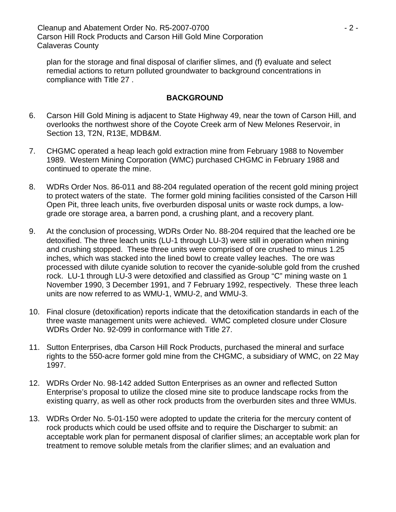Cleanup and Abatement Order No. R5-2007-0700 **Cleanup 3 and Abatement Order No. R5-2007-0700**  Carson Hill Rock Products and Carson Hill Gold Mine Corporation Calaveras County

plan for the storage and final disposal of clarifier slimes, and (f) evaluate and select remedial actions to return polluted groundwater to background concentrations in compliance with Title 27 .

### **BACKGROUND**

- 6. Carson Hill Gold Mining is adjacent to State Highway 49, near the town of Carson Hill, and overlooks the northwest shore of the Coyote Creek arm of New Melones Reservoir, in Section 13, T2N, R13E, MDB&M.
- 7. CHGMC operated a heap leach gold extraction mine from February 1988 to November 1989. Western Mining Corporation (WMC) purchased CHGMC in February 1988 and continued to operate the mine.
- 8. WDRs Order Nos. 86-011 and 88-204 regulated operation of the recent gold mining project to protect waters of the state. The former gold mining facilities consisted of the Carson Hill Open Pit, three leach units, five overburden disposal units or waste rock dumps, a lowgrade ore storage area, a barren pond, a crushing plant, and a recovery plant.
- 9. At the conclusion of processing, WDRs Order No. 88-204 required that the leached ore be detoxified. The three leach units (LU-1 through LU-3) were still in operation when mining and crushing stopped. These three units were comprised of ore crushed to minus 1.25 inches, which was stacked into the lined bowl to create valley leaches. The ore was processed with dilute cyanide solution to recover the cyanide-soluble gold from the crushed rock. LU-1 through LU-3 were detoxified and classified as Group "C" mining waste on 1 November 1990, 3 December 1991, and 7 February 1992, respectively. These three leach units are now referred to as WMU-1, WMU-2, and WMU-3.
- 10. Final closure (detoxification) reports indicate that the detoxification standards in each of the three waste management units were achieved. WMC completed closure under Closure WDRs Order No. 92-099 in conformance with Title 27.
- 11. Sutton Enterprises, dba Carson Hill Rock Products, purchased the mineral and surface rights to the 550-acre former gold mine from the CHGMC, a subsidiary of WMC, on 22 May 1997.
- 12. WDRs Order No. 98-142 added Sutton Enterprises as an owner and reflected Sutton Enterprise's proposal to utilize the closed mine site to produce landscape rocks from the existing quarry, as well as other rock products from the overburden sites and three WMUs.
- 13. WDRs Order No. 5-01-150 were adopted to update the criteria for the mercury content of rock products which could be used offsite and to require the Discharger to submit: an acceptable work plan for permanent disposal of clarifier slimes; an acceptable work plan for treatment to remove soluble metals from the clarifier slimes; and an evaluation and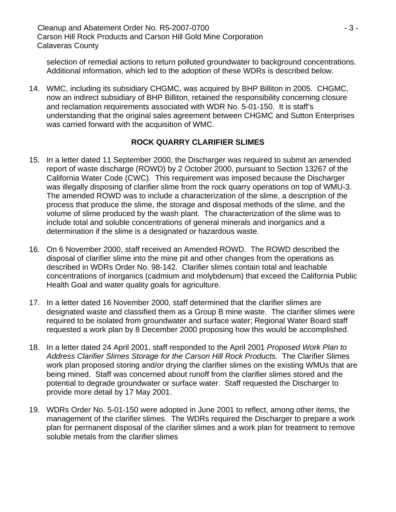selection of remedial actions to return polluted groundwater to background concentrations. Additional information, which led to the adoption of these WDRs is described below.

14. WMC, including its subsidiary CHGMC, was acquired by BHP Billiton in 2005. CHGMC, now an indirect subsidiary of BHP Billiton, retained the responsibility concerning closure and reclamation requirements associated with WDR No. 5-01-150. It is staff's understanding that the original sales agreement between CHGMC and Sutton Enterprises was carried forward with the acquisition of WMC.

# **ROCK QUARRY CLARIFIER SLIMES**

- 15. In a letter dated 11 September 2000, the Discharger was required to submit an amended report of waste discharge (ROWD) by 2 October 2000, pursuant to Section 13267 of the California Water Code (CWC). This requirement was imposed because the Discharger was illegally disposing of clarifier slime from the rock quarry operations on top of WMU-3. The amended ROWD was to include a characterization of the slime, a description of the process that produce the slime, the storage and disposal methods of the slime, and the volume of slime produced by the wash plant. The characterization of the slime was to include total and soluble concentrations of general minerals and inorganics and a determination if the slime is a designated or hazardous waste.
- 16. On 6 November 2000, staff received an Amended ROWD. The ROWD described the disposal of clarifier slime into the mine pit and other changes from the operations as described in WDRs Order No. 98-142. Clarifier slimes contain total and leachable concentrations of inorganics (cadmium and molybdenum) that exceed the California Public Health Goal and water quality goals for agriculture.
- 17. In a letter dated 16 November 2000, staff determined that the clarifier slimes are designated waste and classified them as a Group B mine waste. The clarifier slimes were required to be isolated from groundwater and surface water; Regional Water Board staff requested a work plan by 8 December 2000 proposing how this would be accomplished.
- 18. In a letter dated 24 April 2001, staff responded to the April 2001 *Proposed Work Plan to Address Clarifier Slimes Storage for the Carson Hill Rock Products.* The Clarifier Slimes work plan proposed storing and/or drying the clarifier slimes on the existing WMUs that are being mined. Staff was concerned about runoff from the clarifier slimes stored and the potential to degrade groundwater or surface water. Staff requested the Discharger to provide more detail by 17 May 2001.
- 19. WDRs Order No. 5-01-150 were adopted in June 2001 to reflect, among other items, the management of the clarifier slimes. The WDRs required the Discharger to prepare a work plan for permanent disposal of the clarifier slimes and a work plan for treatment to remove soluble metals from the clarifier slimes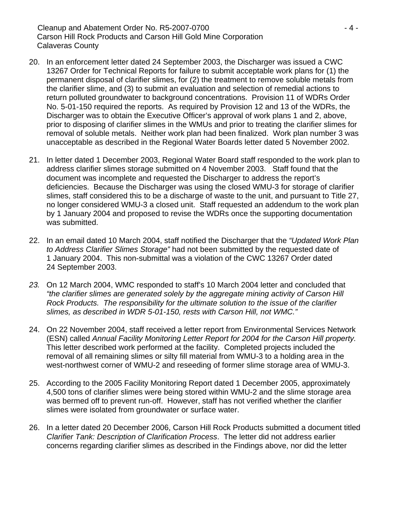- 20. In an enforcement letter dated 24 September 2003, the Discharger was issued a CWC 13267 Order for Technical Reports for failure to submit acceptable work plans for (1) the permanent disposal of clarifier slimes, for (2) the treatment to remove soluble metals from the clarifier slime, and (3) to submit an evaluation and selection of remedial actions to return polluted groundwater to background concentrations. Provision 11 of WDRs Order No. 5-01-150 required the reports. As required by Provision 12 and 13 of the WDRs, the Discharger was to obtain the Executive Officer's approval of work plans 1 and 2, above, prior to disposing of clarifier slimes in the WMUs and prior to treating the clarifier slimes for removal of soluble metals. Neither work plan had been finalized. Work plan number 3 was unacceptable as described in the Regional Water Boards letter dated 5 November 2002.
- 21. In letter dated 1 December 2003, Regional Water Board staff responded to the work plan to address clarifier slimes storage submitted on 4 November 2003. Staff found that the document was incomplete and requested the Discharger to address the report's deficiencies. Because the Discharger was using the closed WMU-3 for storage of clarifier slimes, staff considered this to be a discharge of waste to the unit, and pursuant to Title 27, no longer considered WMU-3 a closed unit. Staff requested an addendum to the work plan by 1 January 2004 and proposed to revise the WDRs once the supporting documentation was submitted.
- 22. In an email dated 10 March 2004, staff notified the Discharger that the *"Updated Work Plan to Address Clarifier Slimes Storage"* had not been submitted by the requested date of 1 January 2004. This non-submittal was a violation of the CWC 13267 Order dated 24 September 2003.
- *23.* On 12 March 2004, WMC responded to staff's 10 March 2004 letter and concluded that *"the clarifier slimes are generated solely by the aggregate mining activity of Carson Hill Rock Products. The responsibility for the ultimate solution to the issue of the clarifier slimes, as described in WDR 5-01-150, rests with Carson Hill, not WMC."*
- 24. On 22 November 2004, staff received a letter report from Environmental Services Network (ESN) called *Annual Facility Monitoring Letter Report for 2004 for the Carson Hill property.* This letter described work performed at the facility. Completed projects included the removal of all remaining slimes or silty fill material from WMU-3 to a holding area in the west-northwest corner of WMU-2 and reseeding of former slime storage area of WMU-3.
- 25. According to the 2005 Facility Monitoring Report dated 1 December 2005, approximately 4,500 tons of clarifier slimes were being stored within WMU-2 and the slime storage area was bermed off to prevent run-off. However, staff has not verified whether the clarifier slimes were isolated from groundwater or surface water.
- 26. In a letter dated 20 December 2006, Carson Hill Rock Products submitted a document titled *Clarifier Tank: Description of Clarification Process*. The letter did not address earlier concerns regarding clarifier slimes as described in the Findings above, nor did the letter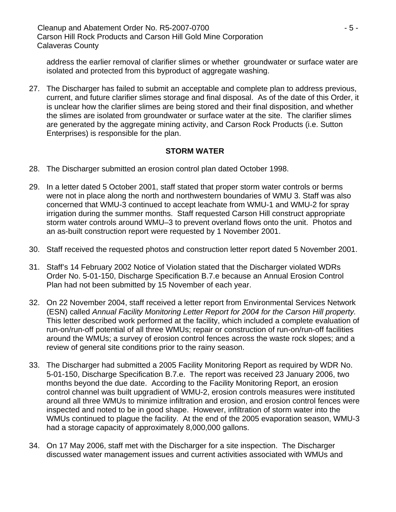address the earlier removal of clarifier slimes or whether groundwater or surface water are isolated and protected from this byproduct of aggregate washing.

27. The Discharger has failed to submit an acceptable and complete plan to address previous, current, and future clarifier slimes storage and final disposal. As of the date of this Order, it is unclear how the clarifier slimes are being stored and their final disposition, and whether the slimes are isolated from groundwater or surface water at the site. The clarifier slimes are generated by the aggregate mining activity, and Carson Rock Products (i.e. Sutton Enterprises) is responsible for the plan.

### **STORM WATER**

- 28. The Discharger submitted an erosion control plan dated October 1998.
- 29. In a letter dated 5 October 2001, staff stated that proper storm water controls or berms were not in place along the north and northwestern boundaries of WMU 3. Staff was also concerned that WMU-3 continued to accept leachate from WMU-1 and WMU-2 for spray irrigation during the summer months. Staff requested Carson Hill construct appropriate storm water controls around WMU–3 to prevent overland flows onto the unit. Photos and an as-built construction report were requested by 1 November 2001.
- 30. Staff received the requested photos and construction letter report dated 5 November 2001.
- 31. Staff's 14 February 2002 Notice of Violation stated that the Discharger violated WDRs Order No. 5-01-150, Discharge Specification B.7.e because an Annual Erosion Control Plan had not been submitted by 15 November of each year.
- 32. On 22 November 2004, staff received a letter report from Environmental Services Network (ESN) called *Annual Facility Monitoring Letter Report for 2004 for the Carson Hill property.* This letter described work performed at the facility, which included a complete evaluation of run-on/run-off potential of all three WMUs; repair or construction of run-on/run-off facilities around the WMUs; a survey of erosion control fences across the waste rock slopes; and a review of general site conditions prior to the rainy season.
- 33. The Discharger had submitted a 2005 Facility Monitoring Report as required by WDR No. 5-01-150, Discharge Specification B.7.e. The report was received 23 January 2006, two months beyond the due date. According to the Facility Monitoring Report, an erosion control channel was built upgradient of WMU-2, erosion controls measures were instituted around all three WMUs to minimize infiltration and erosion, and erosion control fences were inspected and noted to be in good shape. However, infiltration of storm water into the WMUs continued to plague the facility. At the end of the 2005 evaporation season, WMU-3 had a storage capacity of approximately 8,000,000 gallons.
- 34. On 17 May 2006, staff met with the Discharger for a site inspection. The Discharger discussed water management issues and current activities associated with WMUs and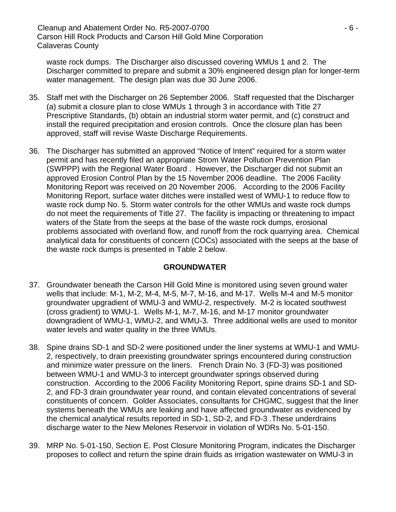waste rock dumps. The Discharger also discussed covering WMUs 1 and 2. The Discharger committed to prepare and submit a 30% engineered design plan for longer-term water management. The design plan was due 30 June 2006.

- 35. Staff met with the Discharger on 26 September 2006. Staff requested that the Discharger (a) submit a closure plan to close WMUs 1 through 3 in accordance with Title 27 Prescriptive Standards, (b) obtain an industrial storm water permit, and (c) construct and install the required precipitation and erosion controls. Once the closure plan has been approved, staff will revise Waste Discharge Requirements.
- 36. The Discharger has submitted an approved "Notice of Intent" required for a storm water permit and has recently filed an appropriate Strom Water Pollution Prevention Plan (SWPPP) with the Regional Water Board . However, the Discharger did not submit an approved Erosion Control Plan by the 15 November 2006 deadline. The 2006 Facility Monitoring Report was received on 20 November 2006. According to the 2006 Facility Monitoring Report, surface water ditches were installed west of WMU-1 to reduce flow to waste rock dump No. 5. Storm water controls for the other WMUs and waste rock dumps do not meet the requirements of Title 27. The facility is impacting or threatening to impact waters of the State from the seeps at the base of the waste rock dumps, erosional problems associated with overland flow, and runoff from the rock quarrying area. Chemical analytical data for constituents of concern (COCs) associated with the seeps at the base of the waste rock dumps is presented in Table 2 below.

### **GROUNDWATER**

- 37. Groundwater beneath the Carson Hill Gold Mine is monitored using seven ground water wells that include: M-1, M-2, M-4, M-5, M-7, M-16, and M-17. Wells M-4 and M-5 monitor groundwater upgradient of WMU-3 and WMU-2, respectively. M-2 is located southwest (cross gradient) to WMU-1. Wells M-1, M-7, M-16, and M-17 monitor groundwater downgradient of WMU-1, WMU-2, and WMU-3. Three additional wells are used to monitor water levels and water quality in the three WMUs.
- 38. Spine drains SD-1 and SD-2 were positioned under the liner systems at WMU-1 and WMU-2, respectively, to drain preexisting groundwater springs encountered during construction and minimize water pressure on the liners. French Drain No. 3 (FD-3) was positioned between WMU-1 and WMU-3 to intercept groundwater springs observed during construction. According to the 2006 Facility Monitoring Report, spine drains SD-1 and SD-2, and FD-3 drain groundwater year round, and contain elevated concentrations of several constituents of concern. Golder Associates, consultants for CHGMC, suggest that the liner systems beneath the WMUs are leaking and have affected groundwater as evidenced by the chemical analytical results reported in SD-1, SD-2, and FD-3 .These underdrains discharge water to the New Melones Reservoir in violation of WDRs No. 5-01-150.
- 39. MRP No. 5-01-150, Section E. Post Closure Monitoring Program, indicates the Discharger proposes to collect and return the spine drain fluids as irrigation wastewater on WMU-3 in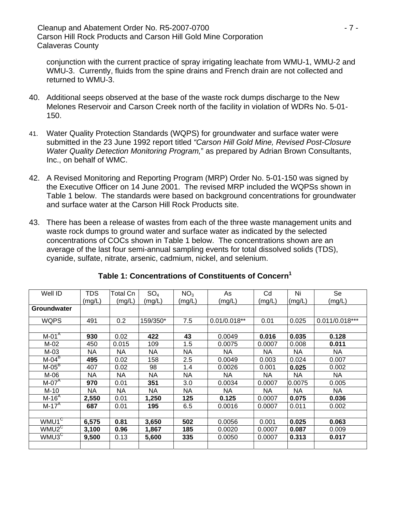conjunction with the current practice of spray irrigating leachate from WMU-1, WMU-2 and WMU-3. Currently, fluids from the spine drains and French drain are not collected and returned to WMU-3.

- 40. Additional seeps observed at the base of the waste rock dumps discharge to the New Melones Reservoir and Carson Creek north of the facility in violation of WDRs No. 5-01- 150.
- 41. Water Quality Protection Standards (WQPS) for groundwater and surface water were submitted in the 23 June 1992 report titled *"Carson Hill Gold Mine, Revised Post-Closure Water Quality Detection Monitoring Program,*" as prepared by Adrian Brown Consultants, Inc., on behalf of WMC.
- 42. A Revised Monitoring and Reporting Program (MRP) Order No. 5-01-150 was signed by the Executive Officer on 14 June 2001. The revised MRP included the WQPSs shown in Table 1 below. The standards were based on background concentrations for groundwater and surface water at the Carson Hill Rock Products site.
- 43. There has been a release of wastes from each of the three waste management units and waste rock dumps to ground water and surface water as indicated by the selected concentrations of COCs shown in Table 1 below. The concentrations shown are an average of the last four semi-annual sampling events for total dissolved solids (TDS), cyanide, sulfate, nitrate, arsenic, cadmium, nickel, and selenium.

| Well ID             | <b>TDS</b> | Total Cn | SO <sub>4</sub> | NO <sub>3</sub> | As             | Cd        | Ni        | Se               |
|---------------------|------------|----------|-----------------|-----------------|----------------|-----------|-----------|------------------|
|                     | (mg/L)     | (mg/L)   | (mg/L)          | (mg/L)          | (mg/L)         | (mg/L)    | (mg/L)    | (mg/L)           |
| <b>Groundwater</b>  |            |          |                 |                 |                |           |           |                  |
| <b>WQPS</b>         | 491        | 0.2      | 159/350*        | 7.5             | $0.01/0.018**$ | 0.01      | 0.025     | $0.011/0.018***$ |
|                     |            |          |                 |                 |                |           |           |                  |
| $M-01A$             | 930        | 0.02     | 422             | 43              | 0.0049         | 0.016     | 0.035     | 0.128            |
| $M-02$              | 450        | 0.015    | 109             | 1.5             | 0.0075         | 0.0007    | 0.008     | 0.011            |
| $M-03$              | <b>NA</b>  | NA       | NA              | <b>NA</b>       | <b>NA</b>      | <b>NA</b> | <b>NA</b> | <b>NA</b>        |
| $M-04B$             | 495        | 0.02     | 158             | 2.5             | 0.0049         | 0.003     | 0.024     | 0.007            |
| $M-05B$             | 407        | 0.02     | 98              | 1.4             | 0.0026         | 0.001     | 0.025     | 0.002            |
| M-06                | NA.        | ΝA       | <b>NA</b>       | NA              | <b>NA</b>      | NA        | <b>NA</b> | NA               |
| $M-07A$             | 970        | 0.01     | 351             | 3.0             | 0.0034         | 0.0007    | 0.0075    | 0.005            |
| $M-10$              | NA         | NA       | NA              | NA              | NA.            | ΝA        | <b>NA</b> | <b>NA</b>        |
| $M-16A$             | 2,550      | 0.01     | 1,250           | 125             | 0.125          | 0.0007    | 0.075     | 0.036            |
| $M-17A$             | 687        | 0.01     | 195             | 6.5             | 0.0016         | 0.0007    | 0.011     | 0.002            |
|                     |            |          |                 |                 |                |           |           |                  |
| $WM\overline{U1^C}$ | 6,575      | 0.81     | 3,650           | 502             | 0.0056         | 0.001     | 0.025     | 0.063            |
| WMU2 <sup>C</sup>   | 3,100      | 0.96     | 1,867           | 185             | 0.0020         | 0.0007    | 0.087     | 0.009            |
| WMU3 <sup>C</sup>   | 9,500      | 0.13     | 5,600           | 335             | 0.0050         | 0.0007    | 0.313     | 0.017            |
|                     |            |          |                 |                 |                |           |           |                  |

# **Table 1: Concentrations of Constituents of Concern1**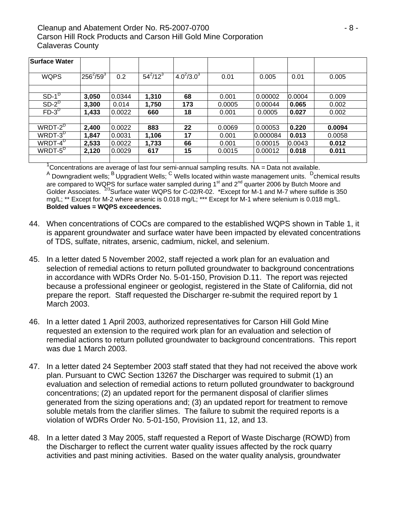| <b>Surface Water</b>                                                                           |              |        |                 |                   |        |          |        |        |  |  |
|------------------------------------------------------------------------------------------------|--------------|--------|-----------------|-------------------|--------|----------|--------|--------|--|--|
| <b>WQPS</b>                                                                                    | $256^2/59^3$ | 0.2    | $54^{2}/12^{3}$ | $4.0^{2}/3.0^{3}$ | 0.01   | 0.005    | 0.01   | 0.005  |  |  |
|                                                                                                |              |        |                 |                   |        |          |        |        |  |  |
| $SD-1^D$                                                                                       | 3,050        | 0.0344 | 1,310           | 68                | 0.001  | 0.00002  | 0.0004 | 0.009  |  |  |
| $SD-2^D$                                                                                       | 3,300        | 0.014  | 1,750           | 173               | 0.0005 | 0.00044  | 0.065  | 0.002  |  |  |
| $FD-3D$                                                                                        | 1,433        | 0.0022 | 660             | 18                | 0.001  | 0.0005   | 0.027  | 0.002  |  |  |
|                                                                                                |              |        |                 |                   |        |          |        |        |  |  |
| WRDT-2 <sup>D</sup>                                                                            | 2,400        | 0.0022 | 883             | 22                | 0.0069 | 0.00053  | 0.220  | 0.0094 |  |  |
| WRDT-3 <sup>D</sup>                                                                            | 1,847        | 0.0031 | 1,106           | 17                | 0.001  | 0.000084 | 0.013  | 0.0058 |  |  |
| WRDT-4 <sup>D</sup>                                                                            | 2,533        | 0.0022 | 1,733           | 66                | 0.001  | 0.00015  | 0.0043 | 0.012  |  |  |
| WRDT- $5^D$                                                                                    | 2,120        | 0.0029 | 617             | 15                | 0.0015 | 0.00012  | 0.018  | 0.011  |  |  |
|                                                                                                |              |        |                 |                   |        |          |        |        |  |  |
| Concentrations are average of last four semi-annual sampling results. NA = Data not available. |              |        |                 |                   |        |          |        |        |  |  |

<sup>A</sup> Downgradient wells; <sup>B</sup> Upgradient Wells; <sup>C</sup> Wells located within waste management units. <sup>D</sup>chemical results are compared to WQPS for surface water sampled during  $1<sup>st</sup>$  and  $2<sup>nd</sup>$  quarter 2006 by Butch Moore and Golder Associates.  $^{2/3}$ Surface water WQPS for C-02/R-02. \*Except for M-1 and M-7 where sulfide is 350 mg/L; \*\* Except for M-2 where arsenic is 0.018 mg/L; \*\*\* Except for M-1 where selenium is 0.018 mg/L. **Bolded values = WQPS exceedences.** 

- 44. When concentrations of COCs are compared to the established WQPS shown in Table 1, it is apparent groundwater and surface water have been impacted by elevated concentrations of TDS, sulfate, nitrates, arsenic, cadmium, nickel, and selenium.
- 45. In a letter dated 5 November 2002, staff rejected a work plan for an evaluation and selection of remedial actions to return polluted groundwater to background concentrations in accordance with WDRs Order No. 5-01-150, Provision D.11. The report was rejected because a professional engineer or geologist, registered in the State of California, did not prepare the report. Staff requested the Discharger re-submit the required report by 1 March 2003.
- 46. In a letter dated 1 April 2003, authorized representatives for Carson Hill Gold Mine requested an extension to the required work plan for an evaluation and selection of remedial actions to return polluted groundwater to background concentrations. This report was due 1 March 2003.
- 47. In a letter dated 24 September 2003 staff stated that they had not received the above work plan. Pursuant to CWC Section 13267 the Discharger was required to submit (1) an evaluation and selection of remedial actions to return polluted groundwater to background concentrations; (2) an updated report for the permanent disposal of clarifier slimes generated from the sizing operations and; (3) an updated report for treatment to remove soluble metals from the clarifier slimes. The failure to submit the required reports is a violation of WDRs Order No. 5-01-150, Provision 11, 12, and 13.
- 48. In a letter dated 3 May 2005, staff requested a Report of Waste Discharge (ROWD) from the Discharger to reflect the current water quality issues affected by the rock quarry activities and past mining activities. Based on the water quality analysis, groundwater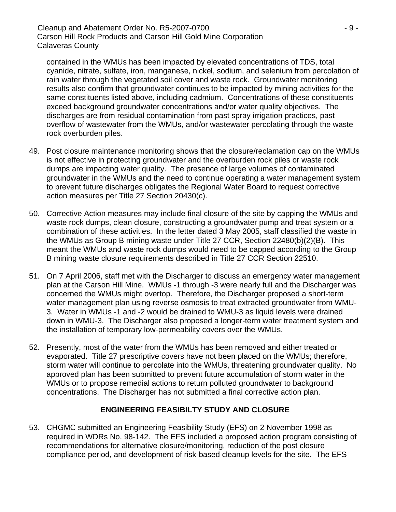Cleanup and Abatement Order No. R5-2007-0700 **Fig. 10. In the State of Abatement Order No. R5-2007-0700**  Carson Hill Rock Products and Carson Hill Gold Mine Corporation Calaveras County

contained in the WMUs has been impacted by elevated concentrations of TDS, total cyanide, nitrate, sulfate, iron, manganese, nickel, sodium, and selenium from percolation of rain water through the vegetated soil cover and waste rock. Groundwater monitoring results also confirm that groundwater continues to be impacted by mining activities for the same constituents listed above, including cadmium. Concentrations of these constituents exceed background groundwater concentrations and/or water quality objectives. The discharges are from residual contamination from past spray irrigation practices, past overflow of wastewater from the WMUs, and/or wastewater percolating through the waste rock overburden piles.

- 49. Post closure maintenance monitoring shows that the closure/reclamation cap on the WMUs is not effective in protecting groundwater and the overburden rock piles or waste rock dumps are impacting water quality. The presence of large volumes of contaminated groundwater in the WMUs and the need to continue operating a water management system to prevent future discharges obligates the Regional Water Board to request corrective action measures per Title 27 Section 20430(c).
- 50. Corrective Action measures may include final closure of the site by capping the WMUs and waste rock dumps, clean closure, constructing a groundwater pump and treat system or a combination of these activities. In the letter dated 3 May 2005, staff classified the waste in the WMUs as Group B mining waste under Title 27 CCR, Section 22480(b)(2)(B). This meant the WMUs and waste rock dumps would need to be capped according to the Group B mining waste closure requirements described in Title 27 CCR Section 22510.
- 51. On 7 April 2006, staff met with the Discharger to discuss an emergency water management plan at the Carson Hill Mine. WMUs -1 through -3 were nearly full and the Discharger was concerned the WMUs might overtop. Therefore, the Discharger proposed a short-term water management plan using reverse osmosis to treat extracted groundwater from WMU-3. Water in WMUs -1 and -2 would be drained to WMU-3 as liquid levels were drained down in WMU-3. The Discharger also proposed a longer-term water treatment system and the installation of temporary low-permeability covers over the WMUs.
- 52. Presently, most of the water from the WMUs has been removed and either treated or evaporated. Title 27 prescriptive covers have not been placed on the WMUs; therefore, storm water will continue to percolate into the WMUs, threatening groundwater quality. No approved plan has been submitted to prevent future accumulation of storm water in the WMUs or to propose remedial actions to return polluted groundwater to background concentrations. The Discharger has not submitted a final corrective action plan.

# **ENGINEERING FEASIBILTY STUDY AND CLOSURE**

53. CHGMC submitted an Engineering Feasibility Study (EFS) on 2 November 1998 as required in WDRs No. 98-142. The EFS included a proposed action program consisting of recommendations for alternative closure/monitoring, reduction of the post closure compliance period, and development of risk-based cleanup levels for the site. The EFS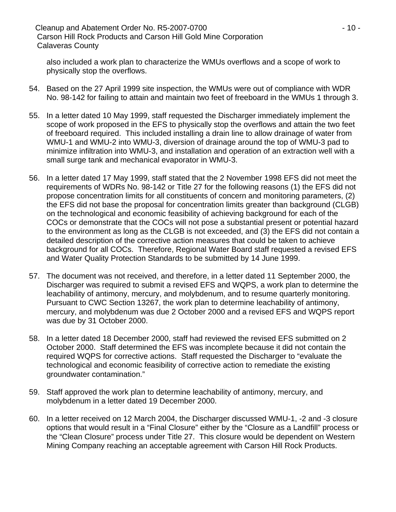Cleanup and Abatement Order No. R5-2007-0700 **Cleanup and Abatement Order No. R5-2007-0700**  Carson Hill Rock Products and Carson Hill Gold Mine Corporation Calaveras County

also included a work plan to characterize the WMUs overflows and a scope of work to physically stop the overflows.

- 54. Based on the 27 April 1999 site inspection, the WMUs were out of compliance with WDR No. 98-142 for failing to attain and maintain two feet of freeboard in the WMUs 1 through 3.
- 55. In a letter dated 10 May 1999, staff requested the Discharger immediately implement the scope of work proposed in the EFS to physically stop the overflows and attain the two feet of freeboard required. This included installing a drain line to allow drainage of water from WMU-1 and WMU-2 into WMU-3, diversion of drainage around the top of WMU-3 pad to minimize infiltration into WMU-3, and installation and operation of an extraction well with a small surge tank and mechanical evaporator in WMU-3.
- 56. In a letter dated 17 May 1999, staff stated that the 2 November 1998 EFS did not meet the requirements of WDRs No. 98-142 or Title 27 for the following reasons (1) the EFS did not propose concentration limits for all constituents of concern and monitoring parameters, (2) the EFS did not base the proposal for concentration limits greater than background (CLGB) on the technological and economic feasibility of achieving background for each of the COCs or demonstrate that the COCs will not pose a substantial present or potential hazard to the environment as long as the CLGB is not exceeded, and (3) the EFS did not contain a detailed description of the corrective action measures that could be taken to achieve background for all COCs. Therefore, Regional Water Board staff requested a revised EFS and Water Quality Protection Standards to be submitted by 14 June 1999.
- 57. The document was not received, and therefore, in a letter dated 11 September 2000, the Discharger was required to submit a revised EFS and WQPS, a work plan to determine the leachability of antimony, mercury, and molybdenum, and to resume quarterly monitoring. Pursuant to CWC Section 13267, the work plan to determine leachability of antimony, mercury, and molybdenum was due 2 October 2000 and a revised EFS and WQPS report was due by 31 October 2000.
- 58. In a letter dated 18 December 2000, staff had reviewed the revised EFS submitted on 2 October 2000. Staff determined the EFS was incomplete because it did not contain the required WQPS for corrective actions. Staff requested the Discharger to "evaluate the technological and economic feasibility of corrective action to remediate the existing groundwater contamination."
- 59. Staff approved the work plan to determine leachability of antimony, mercury, and molybdenum in a letter dated 19 December 2000.
- 60. In a letter received on 12 March 2004, the Discharger discussed WMU-1, -2 and -3 closure options that would result in a "Final Closure" either by the "Closure as a Landfill" process or the "Clean Closure" process under Title 27. This closure would be dependent on Western Mining Company reaching an acceptable agreement with Carson Hill Rock Products.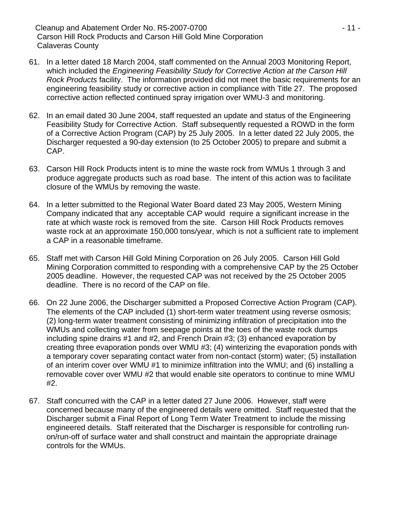Cleanup and Abatement Order No. R5-2007-0700 **120 Cleanup and Abatement Order No. R5-2007**-0700 Carson Hill Rock Products and Carson Hill Gold Mine Corporation Calaveras County

- 61. In a letter dated 18 March 2004, staff commented on the Annual 2003 Monitoring Report, which included the *Engineering Feasibility Study for Corrective Action at the Carson Hill Rock Products* facility. The information provided did not meet the basic requirements for an engineering feasibility study or corrective action in compliance with Title 27. The proposed corrective action reflected continued spray irrigation over WMU-3 and monitoring.
- 62. In an email dated 30 June 2004, staff requested an update and status of the Engineering Feasibility Study for Corrective Action. Staff subsequently requested a ROWD in the form of a Corrective Action Program (CAP) by 25 July 2005. In a letter dated 22 July 2005, the Discharger requested a 90-day extension (to 25 October 2005) to prepare and submit a CAP.
- 63. Carson Hill Rock Products intent is to mine the waste rock from WMUs 1 through 3 and produce aggregate products such as road base. The intent of this action was to facilitate closure of the WMUs by removing the waste.
- 64. In a letter submitted to the Regional Water Board dated 23 May 2005, Western Mining Company indicated that any acceptable CAP would require a significant increase in the rate at which waste rock is removed from the site. Carson Hill Rock Products removes waste rock at an approximate 150,000 tons/year, which is not a sufficient rate to implement a CAP in a reasonable timeframe.
- 65. Staff met with Carson Hill Gold Mining Corporation on 26 July 2005. Carson Hill Gold Mining Corporation committed to responding with a comprehensive CAP by the 25 October 2005 deadline. However, the requested CAP was not received by the 25 October 2005 deadline. There is no record of the CAP on file.
- 66. On 22 June 2006, the Discharger submitted a Proposed Corrective Action Program (CAP). The elements of the CAP included (1) short-term water treatment using reverse osmosis; (2) long-term water treatment consisting of minimizing infiltration of precipitation into the WMUs and collecting water from seepage points at the toes of the waste rock dumps including spine drains #1 and #2, and French Drain #3; (3) enhanced evaporation by creating three evaporation ponds over WMU #3; (4) winterizing the evaporation ponds with a temporary cover separating contact water from non-contact (storm) water; (5) installation of an interim cover over WMU #1 to minimize infiltration into the WMU; and (6) installing a removable cover over WMU #2 that would enable site operators to continue to mine WMU #2.
- 67. Staff concurred with the CAP in a letter dated 27 June 2006. However, staff were concerned because many of the engineered details were omitted. Staff requested that the Discharger submit a Final Report of Long Term Water Treatment to include the missing engineered details. Staff reiterated that the Discharger is responsible for controlling runon/run-off of surface water and shall construct and maintain the appropriate drainage controls for the WMUs.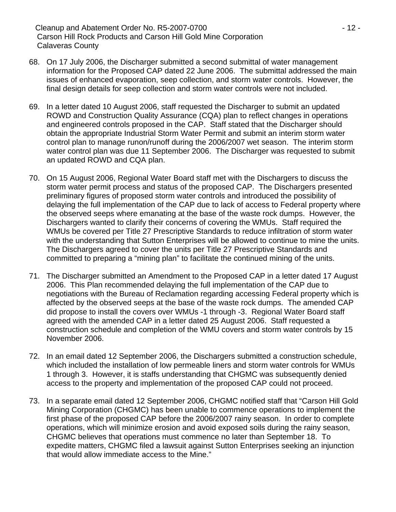- 68. On 17 July 2006, the Discharger submitted a second submittal of water management information for the Proposed CAP dated 22 June 2006. The submittal addressed the main issues of enhanced evaporation, seep collection, and storm water controls. However, the final design details for seep collection and storm water controls were not included.
- 69. In a letter dated 10 August 2006, staff requested the Discharger to submit an updated ROWD and Construction Quality Assurance (CQA) plan to reflect changes in operations and engineered controls proposed in the CAP. Staff stated that the Discharger should obtain the appropriate Industrial Storm Water Permit and submit an interim storm water control plan to manage runon/runoff during the 2006/2007 wet season. The interim storm water control plan was due 11 September 2006. The Discharger was requested to submit an updated ROWD and CQA plan.
- 70. On 15 August 2006, Regional Water Board staff met with the Dischargers to discuss the storm water permit process and status of the proposed CAP. The Dischargers presented preliminary figures of proposed storm water controls and introduced the possibility of delaying the full implementation of the CAP due to lack of access to Federal property where the observed seeps where emanating at the base of the waste rock dumps. However, the Dischargers wanted to clarify their concerns of covering the WMUs. Staff required the WMUs be covered per Title 27 Prescriptive Standards to reduce infiltration of storm water with the understanding that Sutton Enterprises will be allowed to continue to mine the units. The Dischargers agreed to cover the units per Title 27 Prescriptive Standards and committed to preparing a "mining plan" to facilitate the continued mining of the units.
- 71. The Discharger submitted an Amendment to the Proposed CAP in a letter dated 17 August 2006. This Plan recommended delaying the full implementation of the CAP due to negotiations with the Bureau of Reclamation regarding accessing Federal property which is affected by the observed seeps at the base of the waste rock dumps. The amended CAP did propose to install the covers over WMUs -1 through -3. Regional Water Board staff agreed with the amended CAP in a letter dated 25 August 2006. Staff requested a construction schedule and completion of the WMU covers and storm water controls by 15 November 2006.
- 72. In an email dated 12 September 2006, the Dischargers submitted a construction schedule, which included the installation of low permeable liners and storm water controls for WMUs 1 through 3. However, it is staffs understanding that CHGMC was subsequently denied access to the property and implementation of the proposed CAP could not proceed.
- 73. In a separate email dated 12 September 2006, CHGMC notified staff that "Carson Hill Gold Mining Corporation (CHGMC) has been unable to commence operations to implement the first phase of the proposed CAP before the 2006/2007 rainy season. In order to complete operations, which will minimize erosion and avoid exposed soils during the rainy season, CHGMC believes that operations must commence no later than September 18. To expedite matters, CHGMC filed a lawsuit against Sutton Enterprises seeking an injunction that would allow immediate access to the Mine."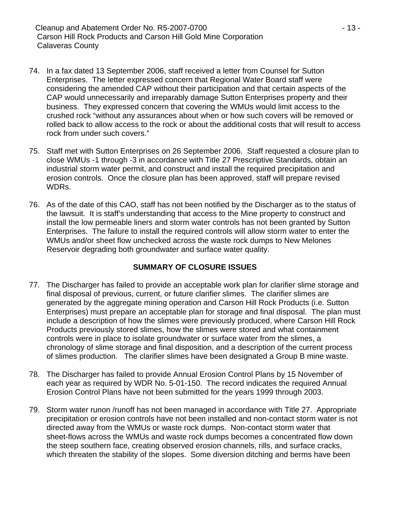- 74. In a fax dated 13 September 2006, staff received a letter from Counsel for Sutton Enterprises. The letter expressed concern that Regional Water Board staff were considering the amended CAP without their participation and that certain aspects of the CAP would unnecessarily and irreparably damage Sutton Enterprises property and their business. They expressed concern that covering the WMUs would limit access to the crushed rock "without any assurances about when or how such covers will be removed or rolled back to allow access to the rock or about the additional costs that will result to access rock from under such covers."
- 75. Staff met with Sutton Enterprises on 26 September 2006. Staff requested a closure plan to close WMUs -1 through -3 in accordance with Title 27 Prescriptive Standards, obtain an industrial storm water permit, and construct and install the required precipitation and erosion controls. Once the closure plan has been approved, staff will prepare revised WDRs.
- 76. As of the date of this CAO, staff has not been notified by the Discharger as to the status of the lawsuit. It is staff's understanding that access to the Mine property to construct and install the low permeable liners and storm water controls has not been granted by Sutton Enterprises. The failure to install the required controls will allow storm water to enter the WMUs and/or sheet flow unchecked across the waste rock dumps to New Melones Reservoir degrading both groundwater and surface water quality.

# **SUMMARY OF CLOSURE ISSUES**

- 77. The Discharger has failed to provide an acceptable work plan for clarifier slime storage and final disposal of previous, current, or future clarifier slimes. The clarifier slimes are generated by the aggregate mining operation and Carson Hill Rock Products (i.e. Sutton Enterprises) must prepare an acceptable plan for storage and final disposal. The plan must include a description of how the slimes were previously produced, where Carson Hill Rock Products previously stored slimes, how the slimes were stored and what containment controls were in place to isolate groundwater or surface water from the slimes, a chronology of slime storage and final disposition, and a description of the current process of slimes production. The clarifier slimes have been designated a Group B mine waste.
- 78. The Discharger has failed to provide Annual Erosion Control Plans by 15 November of each year as required by WDR No. 5-01-150. The record indicates the required Annual Erosion Control Plans have not been submitted for the years 1999 through 2003.
- 79. Storm water runon /runoff has not been managed in accordance with Title 27. Appropriate precipitation or erosion controls have not been installed and non-contact storm water is not directed away from the WMUs or waste rock dumps. Non-contact storm water that sheet-flows across the WMUs and waste rock dumps becomes a concentrated flow down the steep southern face, creating observed erosion channels, rills, and surface cracks, which threaten the stability of the slopes. Some diversion ditching and berms have been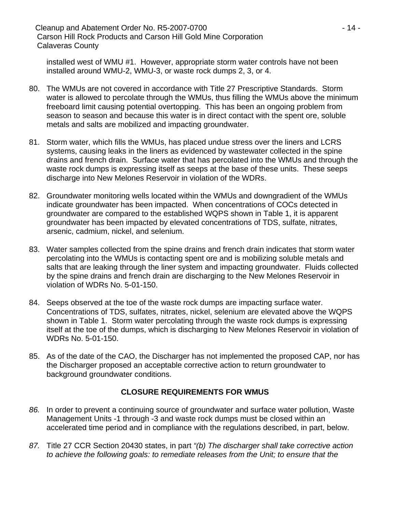installed west of WMU #1. However, appropriate storm water controls have not been installed around WMU-2, WMU-3, or waste rock dumps 2, 3, or 4.

- 80. The WMUs are not covered in accordance with Title 27 Prescriptive Standards. Storm water is allowed to percolate through the WMUs, thus filling the WMUs above the minimum freeboard limit causing potential overtopping. This has been an ongoing problem from season to season and because this water is in direct contact with the spent ore, soluble metals and salts are mobilized and impacting groundwater.
- 81. Storm water, which fills the WMUs, has placed undue stress over the liners and LCRS systems, causing leaks in the liners as evidenced by wastewater collected in the spine drains and french drain. Surface water that has percolated into the WMUs and through the waste rock dumps is expressing itself as seeps at the base of these units. These seeps discharge into New Melones Reservoir in violation of the WDRs.
- 82. Groundwater monitoring wells located within the WMUs and downgradient of the WMUs indicate groundwater has been impacted. When concentrations of COCs detected in groundwater are compared to the established WQPS shown in Table 1, it is apparent groundwater has been impacted by elevated concentrations of TDS, sulfate, nitrates, arsenic, cadmium, nickel, and selenium.
- 83. Water samples collected from the spine drains and french drain indicates that storm water percolating into the WMUs is contacting spent ore and is mobilizing soluble metals and salts that are leaking through the liner system and impacting groundwater. Fluids collected by the spine drains and french drain are discharging to the New Melones Reservoir in violation of WDRs No. 5-01-150.
- 84. Seeps observed at the toe of the waste rock dumps are impacting surface water. Concentrations of TDS, sulfates, nitrates, nickel, selenium are elevated above the WQPS shown in Table 1. Storm water percolating through the waste rock dumps is expressing itself at the toe of the dumps, which is discharging to New Melones Reservoir in violation of WDRs No. 5-01-150.
- 85. As of the date of the CAO, the Discharger has not implemented the proposed CAP, nor has the Discharger proposed an acceptable corrective action to return groundwater to background groundwater conditions.

# **CLOSURE REQUIREMENTS FOR WMUS**

- *86.* In order to prevent a continuing source of groundwater and surface water pollution, Waste Management Units -1 through -3 and waste rock dumps must be closed within an accelerated time period and in compliance with the regulations described, in part, below.
- *87.* Title 27 CCR Section 20430 states, in part *"(b) The discharger shall take corrective action to achieve the following goals: to remediate releases from the Unit; to ensure that the*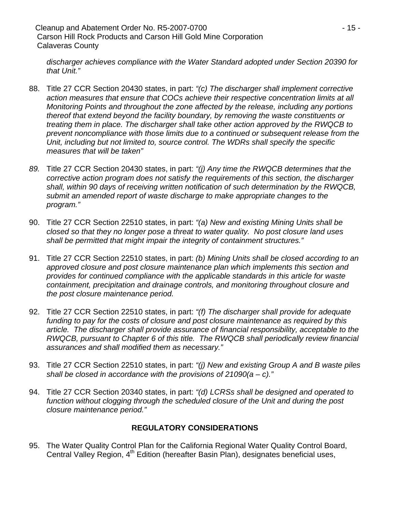*discharger achieves compliance with the Water Standard adopted under Section 20390 for that Unit."* 

- 88. Title 27 CCR Section 20430 states, in part: *"(c) The discharger shall implement corrective action measures that ensure that COCs achieve their respective concentration limits at all Monitoring Points and throughout the zone affected by the release, including any portions thereof that extend beyond the facility boundary, by removing the waste constituents or treating them in place. The discharger shall take other action approved by the RWQCB to prevent noncompliance with those limits due to a continued or subsequent release from the Unit, including but not limited to, source control. The WDRs shall specify the specific measures that will be taken"*
- *89.* Title 27 CCR Section 20430 states, in part: *"(j) Any time the RWQCB determines that the corrective action program does not satisfy the requirements of this section, the discharger shall, within 90 days of receiving written notification of such determination by the RWQCB, submit an amended report of waste discharge to make appropriate changes to the program."*
- 90. Title 27 CCR Section 22510 states, in part: *"(a) New and existing Mining Units shall be closed so that they no longer pose a threat to water quality. No post closure land uses shall be permitted that might impair the integrity of containment structures."*
- 91. Title 27 CCR Section 22510 states, in part: *(b) Mining Units shall be closed according to an approved closure and post closure maintenance plan which implements this section and provides for continued compliance with the applicable standards in this article for waste containment, precipitation and drainage controls, and monitoring throughout closure and the post closure maintenance period.*
- 92. Title 27 CCR Section 22510 states, in part: *"(f) The discharger shall provide for adequate funding to pay for the costs of closure and post closure maintenance as required by this article. The discharger shall provide assurance of financial responsibility, acceptable to the RWQCB, pursuant to Chapter 6 of this title. The RWQCB shall periodically review financial assurances and shall modified them as necessary."*
- 93. Title 27 CCR Section 22510 states, in part: *"(j) New and existing Group A and B waste piles shall be closed in accordance with the provisions of 21090(a – c)."*
- 94. Title 27 CCR Section 20340 states, in part: *"(d) LCRSs shall be designed and operated to function without clogging through the scheduled closure of the Unit and during the post closure maintenance period."*

# **REGULATORY CONSIDERATIONS**

95. The Water Quality Control Plan for the California Regional Water Quality Control Board, Central Valley Region, 4<sup>th</sup> Edition (hereafter Basin Plan), designates beneficial uses,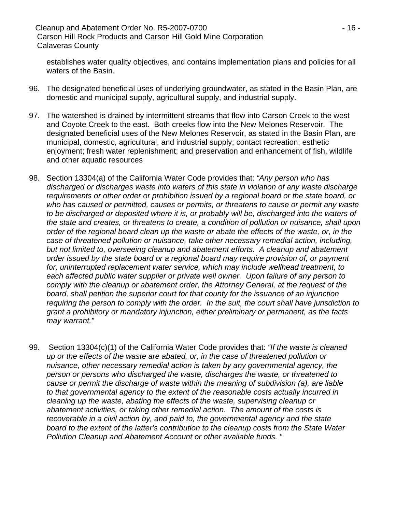establishes water quality objectives, and contains implementation plans and policies for all waters of the Basin.

- 96. The designated beneficial uses of underlying groundwater, as stated in the Basin Plan, are domestic and municipal supply, agricultural supply, and industrial supply.
- 97. The watershed is drained by intermittent streams that flow into Carson Creek to the west and Coyote Creek to the east. Both creeks flow into the New Melones Reservoir. The designated beneficial uses of the New Melones Reservoir, as stated in the Basin Plan, are municipal, domestic, agricultural, and industrial supply; contact recreation; esthetic enjoyment; fresh water replenishment; and preservation and enhancement of fish, wildlife and other aquatic resources
- 98. Section 13304(a) of the California Water Code provides that: *"Any person who has discharged or discharges waste into waters of this state in violation of any waste discharge requirements or other order or prohibition issued by a regional board or the state board, or who has caused or permitted, causes or permits, or threatens to cause or permit any waste to be discharged or deposited where it is, or probably will be, discharged into the waters of the state and creates, or threatens to create, a condition of pollution or nuisance, shall upon order of the regional board clean up the waste or abate the effects of the waste, or, in the case of threatened pollution or nuisance, take other necessary remedial action, including, but not limited to, overseeing cleanup and abatement efforts. A cleanup and abatement order issued by the state board or a regional board may require provision of, or payment for, uninterrupted replacement water service, which may include wellhead treatment, to each affected public water supplier or private well owner. Upon failure of any person to comply with the cleanup or abatement order, the Attorney General, at the request of the board, shall petition the superior court for that county for the issuance of an injunction requiring the person to comply with the order. In the suit, the court shall have jurisdiction to grant a prohibitory or mandatory injunction, either preliminary or permanent, as the facts may warrant."*
- 99. Section 13304(c)(1) of the California Water Code provides that: *"If the waste is cleaned up or the effects of the waste are abated, or, in the case of threatened pollution or nuisance, other necessary remedial action is taken by any governmental agency, the person or persons who discharged the waste, discharges the waste, or threatened to cause or permit the discharge of waste within the meaning of subdivision (a), are liable to that governmental agency to the extent of the reasonable costs actually incurred in cleaning up the waste, abating the effects of the waste, supervising cleanup or abatement activities, or taking other remedial action. The amount of the costs is recoverable in a civil action by, and paid to, the governmental agency and the state board to the extent of the latter's contribution to the cleanup costs from the State Water Pollution Cleanup and Abatement Account or other available funds. "*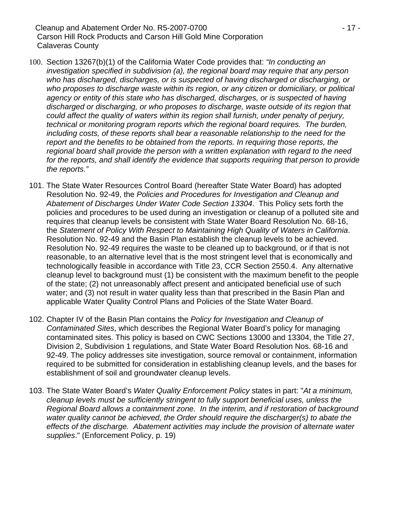- 100. Section 13267(b)(1) of the California Water Code provides that: *"In conducting an investigation specified in subdivision (a), the regional board may require that any person who has discharged, discharges, or is suspected of having discharged or discharging, or who proposes to discharge waste within its region, or any citizen or domiciliary, or political agency or entity of this state who has discharged, discharges, or is suspected of having discharged or discharging, or who proposes to discharge, waste outside of its region that could affect the quality of waters within its region shall furnish, under penalty of perjury, technical or monitoring program reports which the regional board requires. The burden, including costs, of these reports shall bear a reasonable relationship to the need for the report and the benefits to be obtained from the reports. In requiring those reports, the regional board shall provide the person with a written explanation with regard to the need*  for the reports, and shall identify the evidence that supports requiring that person to provide *the reports."*
- 101. The State Water Resources Control Board (hereafter State Water Board) has adopted Resolution No. 92-49, the *Policies and Procedures for Investigation and Cleanup and Abatement of Discharges Under Water Code Section 13304*. This Policy sets forth the policies and procedures to be used during an investigation or cleanup of a polluted site and requires that cleanup levels be consistent with State Water Board Resolution No. 68-16, the *Statement of Policy With Respect to Maintaining High Quality of Waters in California*. Resolution No. 92-49 and the Basin Plan establish the cleanup levels to be achieved. Resolution No. 92-49 requires the waste to be cleaned up to background, or if that is not reasonable, to an alternative level that is the most stringent level that is economically and technologically feasible in accordance with Title 23, CCR Section 2550.4. Any alternative cleanup level to background must (1) be consistent with the maximum benefit to the people of the state; (2) not unreasonably affect present and anticipated beneficial use of such water; and (3) not result in water quality less than that prescribed in the Basin Plan and applicable Water Quality Control Plans and Policies of the State Water Board.
- 102. Chapter IV of the Basin Plan contains the *Policy for Investigation and Cleanup of Contaminated Sites*, which describes the Regional Water Board's policy for managing contaminated sites. This policy is based on CWC Sections 13000 and 13304, the Title 27, Division 2, Subdivision 1 regulations, and State Water Board Resolution Nos. 68-16 and 92-49. The policy addresses site investigation, source removal or containment, information required to be submitted for consideration in establishing cleanup levels, and the bases for establishment of soil and groundwater cleanup levels.
- 103. The State Water Board's *Water Quality Enforcement Policy* states in part: "*At a minimum, cleanup levels must be sufficiently stringent to fully support beneficial uses, unless the Regional Board allows a containment zone. In the interim, and if restoration of background water quality cannot be achieved, the Order should require the discharger(s) to abate the effects of the discharge. Abatement activities may include the provision of alternate water supplies*." (Enforcement Policy, p. 19)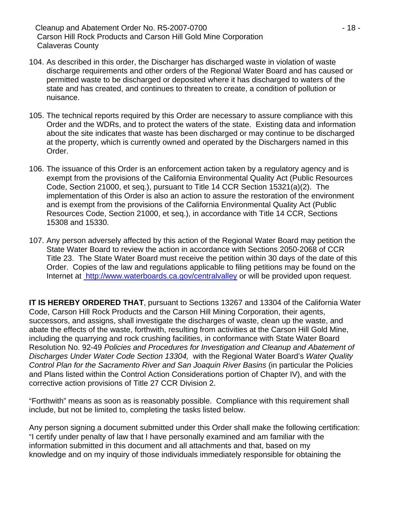- 104. As described in this order, the Discharger has discharged waste in violation of waste discharge requirements and other orders of the Regional Water Board and has caused or permitted waste to be discharged or deposited where it has discharged to waters of the state and has created, and continues to threaten to create, a condition of pollution or nuisance.
- 105. The technical reports required by this Order are necessary to assure compliance with this Order and the WDRs, and to protect the waters of the state. Existing data and information about the site indicates that waste has been discharged or may continue to be discharged at the property, which is currently owned and operated by the Dischargers named in this Order.
- 106. The issuance of this Order is an enforcement action taken by a regulatory agency and is exempt from the provisions of the California Environmental Quality Act (Public Resources Code, Section 21000, et seq.), pursuant to Title 14 CCR Section 15321(a)(2). The implementation of this Order is also an action to assure the restoration of the environment and is exempt from the provisions of the California Environmental Quality Act (Public Resources Code, Section 21000, et seq.), in accordance with Title 14 CCR, Sections 15308 and 15330.
- 107. Any person adversely affected by this action of the Regional Water Board may petition the State Water Board to review the action in accordance with Sections 2050-2068 of CCR Title 23. The State Water Board must receive the petition within 30 days of the date of this Order. Copies of the law and regulations applicable to filing petitions may be found on the Internet at http://www.waterboards.ca.gov/centralvalley or will be provided upon request.

**IT IS HEREBY ORDERED THAT**, pursuant to Sections 13267 and 13304 of the California Water Code, Carson Hill Rock Products and the Carson Hill Mining Corporation, their agents, successors, and assigns, shall investigate the discharges of waste, clean up the waste, and abate the effects of the waste, forthwith, resulting from activities at the Carson Hill Gold Mine, including the quarrying and rock crushing facilities, in conformance with State Water Board Resolution No. 92-49 *Policies and Procedures for Investigation and Cleanup and Abatement of Discharges Under Water Code Section 13304,* with the Regional Water Board's *Water Quality Control Plan for the Sacramento River and San Joaquin River Basins* (in particular the Policies and Plans listed within the Control Action Considerations portion of Chapter IV), and with the corrective action provisions of Title 27 CCR Division 2.

"Forthwith" means as soon as is reasonably possible. Compliance with this requirement shall include, but not be limited to, completing the tasks listed below.

Any person signing a document submitted under this Order shall make the following certification: "I certify under penalty of law that I have personally examined and am familiar with the information submitted in this document and all attachments and that, based on my knowledge and on my inquiry of those individuals immediately responsible for obtaining the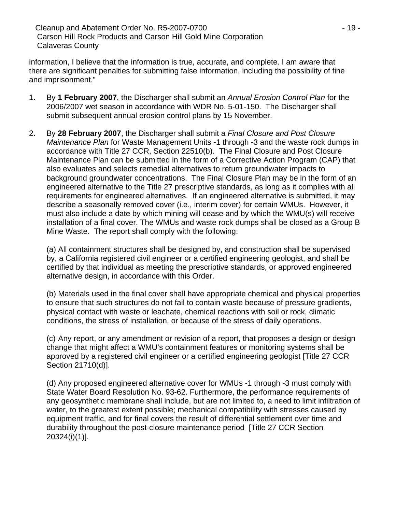information, I believe that the information is true, accurate, and complete. I am aware that there are significant penalties for submitting false information, including the possibility of fine and imprisonment."

- 1. By **1 February 2007**, the Discharger shall submit an *Annual Erosion Control Plan* for the 2006/2007 wet season in accordance with WDR No. 5-01-150. The Discharger shall submit subsequent annual erosion control plans by 15 November.
- 2. By **28 February 2007**, the Discharger shall submit a *Final Closure and Post Closure Maintenance Plan* for Waste Management Units -1 through -3 and the waste rock dumps in accordance with Title 27 CCR, Section 22510(b). The Final Closure and Post Closure Maintenance Plan can be submitted in the form of a Corrective Action Program (CAP) that also evaluates and selects remedial alternatives to return groundwater impacts to background groundwater concentrations. The Final Closure Plan may be in the form of an engineered alternative to the Title 27 prescriptive standards, as long as it complies with all requirements for engineered alternatives. If an engineered alternative is submitted, it may describe a seasonally removed cover (i.e., interim cover) for certain WMUs. However, it must also include a date by which mining will cease and by which the WMU(s) will receive installation of a final cover. The WMUs and waste rock dumps shall be closed as a Group B Mine Waste. The report shall comply with the following:

(a) All containment structures shall be designed by, and construction shall be supervised by, a California registered civil engineer or a certified engineering geologist, and shall be certified by that individual as meeting the prescriptive standards, or approved engineered alternative design, in accordance with this Order.

(b) Materials used in the final cover shall have appropriate chemical and physical properties to ensure that such structures do not fail to contain waste because of pressure gradients, physical contact with waste or leachate, chemical reactions with soil or rock, climatic conditions, the stress of installation, or because of the stress of daily operations.

(c) Any report, or any amendment or revision of a report, that proposes a design or design change that might affect a WMU's containment features or monitoring systems shall be approved by a registered civil engineer or a certified engineering geologist [Title 27 CCR Section 21710(d)].

(d) Any proposed engineered alternative cover for WMUs -1 through -3 must comply with State Water Board Resolution No. 93-62. Furthermore, the performance requirements of any geosynthetic membrane shall include, but are not limited to, a need to limit infiltration of water, to the greatest extent possible; mechanical compatibility with stresses caused by equipment traffic, and for final covers the result of differential settlement over time and durability throughout the post-closure maintenance period [Title 27 CCR Section 20324(i)(1)].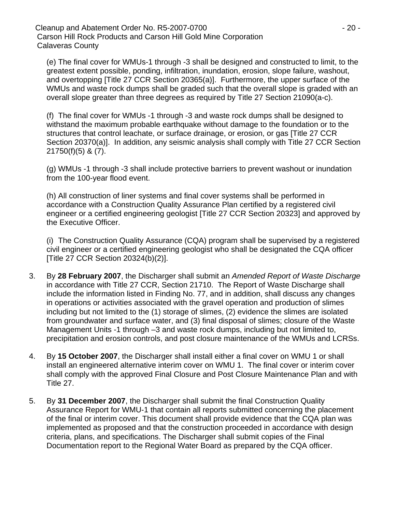Cleanup and Abatement Order No. R5-2007-0700 **Details and Abatement Order No. R5-2007-0700**  $-$  20 - Carson Hill Rock Products and Carson Hill Gold Mine Corporation Calaveras County

(e) The final cover for WMUs-1 through -3 shall be designed and constructed to limit, to the greatest extent possible, ponding, infiltration, inundation, erosion, slope failure, washout, and overtopping [Title 27 CCR Section 20365(a)]. Furthermore, the upper surface of the WMUs and waste rock dumps shall be graded such that the overall slope is graded with an overall slope greater than three degrees as required by Title 27 Section 21090(a-c).

(f) The final cover for WMUs -1 through -3 and waste rock dumps shall be designed to withstand the maximum probable earthquake without damage to the foundation or to the structures that control leachate, or surface drainage, or erosion, or gas [Title 27 CCR Section 20370(a)]. In addition, any seismic analysis shall comply with Title 27 CCR Section 21750(f)(5) & (7).

(g) WMUs -1 through -3 shall include protective barriers to prevent washout or inundation from the 100-year flood event.

(h) All construction of liner systems and final cover systems shall be performed in accordance with a Construction Quality Assurance Plan certified by a registered civil engineer or a certified engineering geologist [Title 27 CCR Section 20323] and approved by the Executive Officer.

(i) The Construction Quality Assurance (CQA) program shall be supervised by a registered civil engineer or a certified engineering geologist who shall be designated the CQA officer [Title 27 CCR Section 20324(b)(2)].

- 3. By **28 February 2007**, the Discharger shall submit an *Amended Report of Waste Discharge* in accordance with Title 27 CCR, Section 21710. The Report of Waste Discharge shall include the information listed in Finding No. 77, and in addition, shall discuss any changes in operations or activities associated with the gravel operation and production of slimes including but not limited to the (1) storage of slimes, (2) evidence the slimes are isolated from groundwater and surface water, and (3) final disposal of slimes; closure of the Waste Management Units -1 through –3 and waste rock dumps, including but not limited to, precipitation and erosion controls, and post closure maintenance of the WMUs and LCRSs.
- 4. By **15 October 2007**, the Discharger shall install either a final cover on WMU 1 or shall install an engineered alternative interim cover on WMU 1. The final cover or interim cover shall comply with the approved Final Closure and Post Closure Maintenance Plan and with Title 27.
- 5. By **31 December 2007**, the Discharger shall submit the final Construction Quality Assurance Report for WMU-1 that contain all reports submitted concerning the placement of the final or interim cover. This document shall provide evidence that the CQA plan was implemented as proposed and that the construction proceeded in accordance with design criteria, plans, and specifications. The Discharger shall submit copies of the Final Documentation report to the Regional Water Board as prepared by the CQA officer.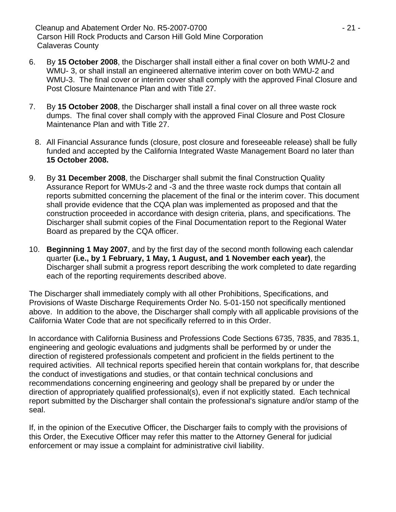- 6. By **15 October 2008**, the Discharger shall install either a final cover on both WMU-2 and WMU- 3, or shall install an engineered alternative interim cover on both WMU-2 and WMU-3. The final cover or interim cover shall comply with the approved Final Closure and Post Closure Maintenance Plan and with Title 27.
- 7. By **15 October 2008**, the Discharger shall install a final cover on all three waste rock dumps. The final cover shall comply with the approved Final Closure and Post Closure Maintenance Plan and with Title 27.
	- 8. All Financial Assurance funds (closure, post closure and foreseeable release) shall be fully funded and accepted by the California Integrated Waste Management Board no later than **15 October 2008.**
- 9. By **31 December 2008**, the Discharger shall submit the final Construction Quality Assurance Report for WMUs-2 and -3 and the three waste rock dumps that contain all reports submitted concerning the placement of the final or the interim cover. This document shall provide evidence that the CQA plan was implemented as proposed and that the construction proceeded in accordance with design criteria, plans, and specifications. The Discharger shall submit copies of the Final Documentation report to the Regional Water Board as prepared by the CQA officer.
- 10. **Beginning 1 May 2007**, and by the first day of the second month following each calendar quarter **(i.e., by 1 February, 1 May, 1 August, and 1 November each year)**, the Discharger shall submit a progress report describing the work completed to date regarding each of the reporting requirements described above.

The Discharger shall immediately comply with all other Prohibitions, Specifications, and Provisions of Waste Discharge Requirements Order No. 5-01-150 not specifically mentioned above. In addition to the above, the Discharger shall comply with all applicable provisions of the California Water Code that are not specifically referred to in this Order.

In accordance with California Business and Professions Code Sections 6735, 7835, and 7835.1, engineering and geologic evaluations and judgments shall be performed by or under the direction of registered professionals competent and proficient in the fields pertinent to the required activities. All technical reports specified herein that contain workplans for, that describe the conduct of investigations and studies, or that contain technical conclusions and recommendations concerning engineering and geology shall be prepared by or under the direction of appropriately qualified professional(s), even if not explicitly stated. Each technical report submitted by the Discharger shall contain the professional's signature and/or stamp of the seal.

If, in the opinion of the Executive Officer, the Discharger fails to comply with the provisions of this Order, the Executive Officer may refer this matter to the Attorney General for judicial enforcement or may issue a complaint for administrative civil liability.